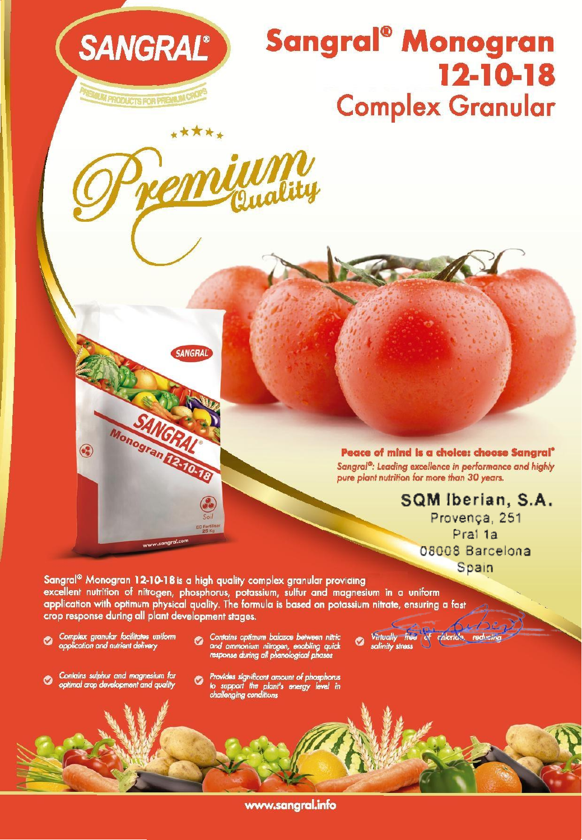

# **Sangral® Monogran 12-10-18 Complex Granular**



SANGRAL

Monogran DATO TO

www.sangral.co

\*\*\*\*\*

**Peace of mind Is a choice: choose Sangral·** Sangral<sup>®</sup>: Leading excellence in performance and highly pure *plant* nutrjtion for more *than* 30 years.

Virtually free of clibride

O

**SQM Iberian, S.A.** Provence, 251 Pral 1a 08008 Barcelona

Spain

Sangral® Monogran 12-10-18 is a high quality complex granular providing excellent nutrition of nitrogen, phosphorus, potassium, sulfur and magnesium in a uniform application with optimum physical quality. The formula is based on potassium nitrate, ensuring a fast crop response during all plant development stages.

Complex granular facilitates uniform<br>application and nutrient delivery ◔

3

Contains optimum balance between nitrice<br>and ammonium nitrogen, enabling quick<br>response during all phenological phases

Contains sulphur and magnesium for<br>optimal crop development and quality O

Provides significant amount of phosphorus<br>to support the plant's energy level in<br>challenging conditions  $\bullet$ 

**www.sangral.info**